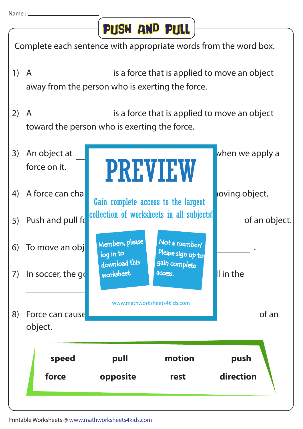